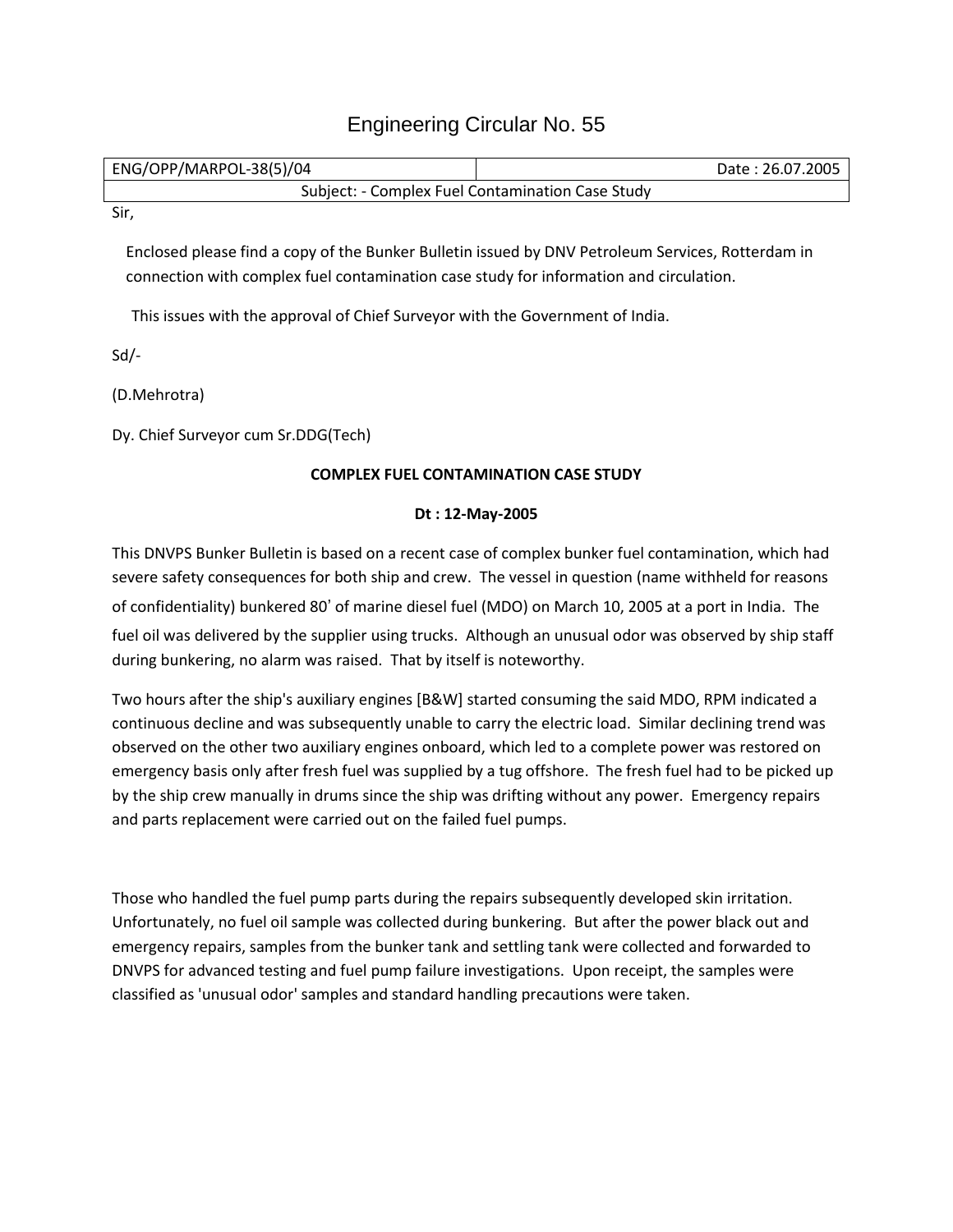## Engineering Circular No. 55

| ENG/OPP/MARPOL-38(5)/04                          | Date: 26.07.2005 |
|--------------------------------------------------|------------------|
| Subject: - Complex Fuel Contamination Case Study |                  |

Sir,

Enclosed please find a copy of the Bunker Bulletin issued by DNV Petroleum Services, Rotterdam in connection with complex fuel contamination case study for information and circulation.

This issues with the approval of Chief Surveyor with the Government of India.

Sd/-

(D.Mehrotra)

Dy. Chief Surveyor cum Sr.DDG(Tech)

## **COMPLEX FUEL CONTAMINATION CASE STUDY**

## **Dt : 12-May-2005**

This DNVPS Bunker Bulletin is based on a recent case of complex bunker fuel contamination, which had severe safety consequences for both ship and crew. The vessel in question (name withheld for reasons of confidentiality) bunkered 80' of marine diesel fuel (MDO) on March 10, 2005 at a port in India. The fuel oil was delivered by the supplier using trucks. Although an unusual odor was observed by ship staff during bunkering, no alarm was raised. That by itself is noteworthy.

Two hours after the ship's auxiliary engines [B&W] started consuming the said MDO, RPM indicated a continuous decline and was subsequently unable to carry the electric load. Similar declining trend was observed on the other two auxiliary engines onboard, which led to a complete power was restored on emergency basis only after fresh fuel was supplied by a tug offshore. The fresh fuel had to be picked up by the ship crew manually in drums since the ship was drifting without any power. Emergency repairs and parts replacement were carried out on the failed fuel pumps.

Those who handled the fuel pump parts during the repairs subsequently developed skin irritation. Unfortunately, no fuel oil sample was collected during bunkering. But after the power black out and emergency repairs, samples from the bunker tank and settling tank were collected and forwarded to DNVPS for advanced testing and fuel pump failure investigations. Upon receipt, the samples were classified as 'unusual odor' samples and standard handling precautions were taken.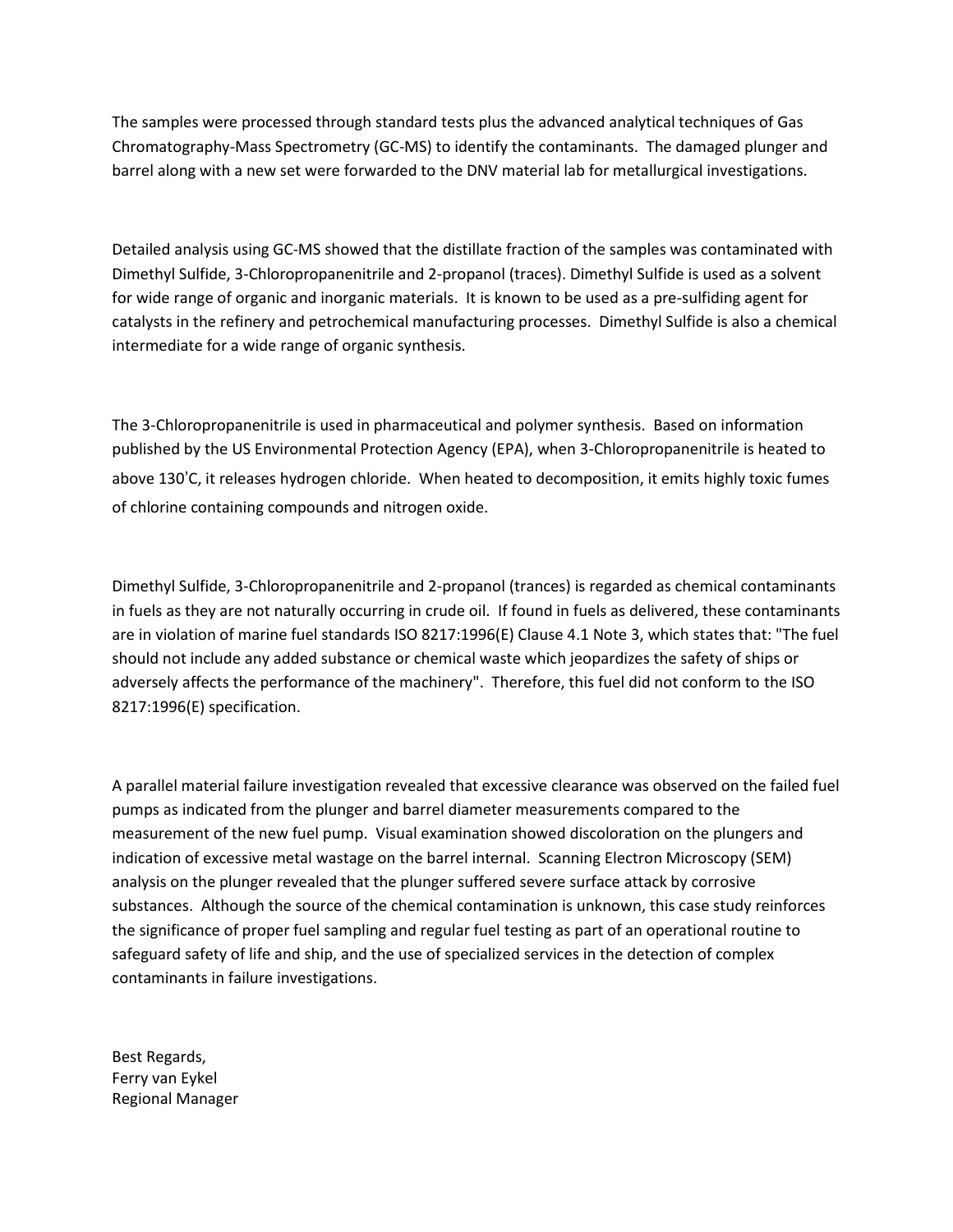The samples were processed through standard tests plus the advanced analytical techniques of Gas Chromatography-Mass Spectrometry (GC-MS) to identify the contaminants. The damaged plunger and barrel along with a new set were forwarded to the DNV material lab for metallurgical investigations.

Detailed analysis using GC-MS showed that the distillate fraction of the samples was contaminated with Dimethyl Sulfide, 3-Chloropropanenitrile and 2-propanol (traces). Dimethyl Sulfide is used as a solvent for wide range of organic and inorganic materials. It is known to be used as a pre-sulfiding agent for catalysts in the refinery and petrochemical manufacturing processes. Dimethyl Sulfide is also a chemical intermediate for a wide range of organic synthesis.

The 3-Chloropropanenitrile is used in pharmaceutical and polymer synthesis. Based on information published by the US Environmental Protection Agency (EPA), when 3-Chloropropanenitrile is heated to above 130'C, it releases hydrogen chloride. When heated to decomposition, it emits highly toxic fumes of chlorine containing compounds and nitrogen oxide.

Dimethyl Sulfide, 3-Chloropropanenitrile and 2-propanol (trances) is regarded as chemical contaminants in fuels as they are not naturally occurring in crude oil. If found in fuels as delivered, these contaminants are in violation of marine fuel standards ISO 8217:1996(E) Clause 4.1 Note 3, which states that: "The fuel should not include any added substance or chemical waste which jeopardizes the safety of ships or adversely affects the performance of the machinery". Therefore, this fuel did not conform to the ISO 8217:1996(E) specification.

A parallel material failure investigation revealed that excessive clearance was observed on the failed fuel pumps as indicated from the plunger and barrel diameter measurements compared to the measurement of the new fuel pump. Visual examination showed discoloration on the plungers and indication of excessive metal wastage on the barrel internal. Scanning Electron Microscopy (SEM) analysis on the plunger revealed that the plunger suffered severe surface attack by corrosive substances. Although the source of the chemical contamination is unknown, this case study reinforces the significance of proper fuel sampling and regular fuel testing as part of an operational routine to safeguard safety of life and ship, and the use of specialized services in the detection of complex contaminants in failure investigations.

Best Regards, Ferry van Eykel Regional Manager